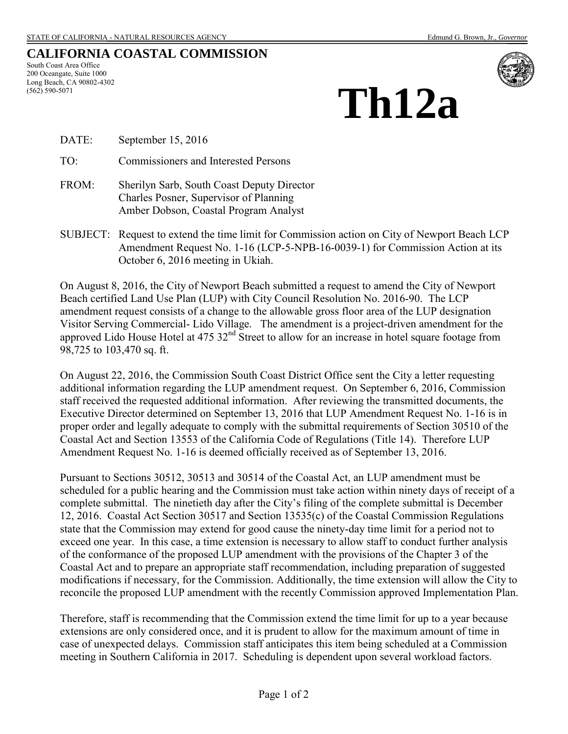# **CALIFORNIA COASTAL COMMISSION**

South Coast Area Office 200 Oceangate, Suite 1000 Long Beach, CA 90802-4302 (562) 590-5071



# **Th12a**

DATE: September 15, 2016

TO: Commissioners and Interested Persons

- FROM: Sherilyn Sarb, South Coast Deputy Director Charles Posner, Supervisor of Planning Amber Dobson, Coastal Program Analyst
- SUBJECT: Request to extend the time limit for Commission action on City of Newport Beach LCP Amendment Request No. 1-16 (LCP-5-NPB-16-0039-1) for Commission Action at its October 6, 2016 meeting in Ukiah.

On August 8, 2016, the City of Newport Beach submitted a request to amend the City of Newport Beach certified Land Use Plan (LUP) with City Council Resolution No. 2016-90. The LCP amendment request consists of a change to the allowable gross floor area of the LUP designation Visitor Serving Commercial- Lido Village. The amendment is a project-driven amendment for the approved Lido House Hotel at  $475.32<sup>nd</sup>$  Street to allow for an increase in hotel square footage from 98,725 to 103,470 sq. ft.

On August 22, 2016, the Commission South Coast District Office sent the City a letter requesting additional information regarding the LUP amendment request. On September 6, 2016, Commission staff received the requested additional information. After reviewing the transmitted documents, the Executive Director determined on September 13, 2016 that LUP Amendment Request No. 1-16 is in proper order and legally adequate to comply with the submittal requirements of Section 30510 of the Coastal Act and Section 13553 of the California Code of Regulations (Title 14). Therefore LUP Amendment Request No. 1-16 is deemed officially received as of September 13, 2016.

Pursuant to Sections 30512, 30513 and 30514 of the Coastal Act, an LUP amendment must be scheduled for a public hearing and the Commission must take action within ninety days of receipt of a complete submittal. The ninetieth day after the City's filing of the complete submittal is December 12, 2016. Coastal Act Section 30517 and Section 13535(c) of the Coastal Commission Regulations state that the Commission may extend for good cause the ninety-day time limit for a period not to exceed one year. In this case, a time extension is necessary to allow staff to conduct further analysis of the conformance of the proposed LUP amendment with the provisions of the Chapter 3 of the Coastal Act and to prepare an appropriate staff recommendation, including preparation of suggested modifications if necessary, for the Commission. Additionally, the time extension will allow the City to reconcile the proposed LUP amendment with the recently Commission approved Implementation Plan.

Therefore, staff is recommending that the Commission extend the time limit for up to a year because extensions are only considered once, and it is prudent to allow for the maximum amount of time in case of unexpected delays. Commission staff anticipates this item being scheduled at a Commission meeting in Southern California in 2017. Scheduling is dependent upon several workload factors.